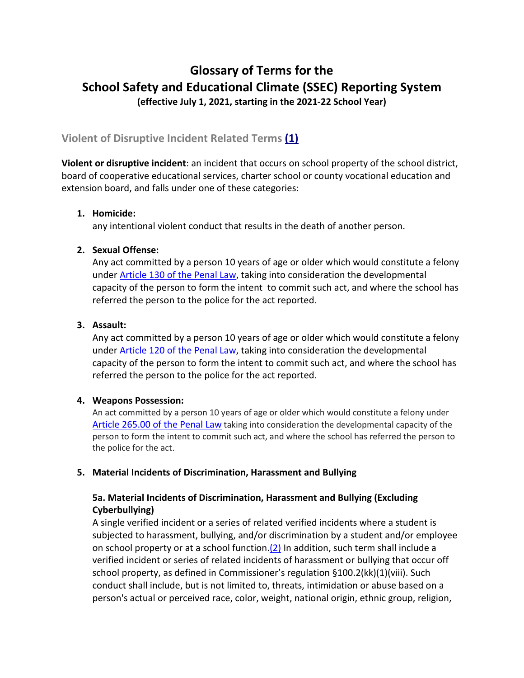# **Glossary of Terms for the School Safety and Educational Climate (SSEC) Reporting System (effective July 1, 2021, starting in the 2021-22 School Year)**

# **Violent of Disruptive Incident Related Terms [\(1\)](#page-6-0)**

**Violent or disruptive incident**: an incident that occurs on school property of the school district, board of cooperative educational services, charter school or county vocational education and extension board, and falls under one of these categories:

# **1. Homicide:**

any intentional violent conduct that results in the death of another person.

# **2. Sexual Offense:**

Any act committed by a person 10 years of age or older which would constitute a felony under [Article 130 of the Penal Law,](https://www.nysenate.gov/legislation/laws/PEN/P3THA130) taking into consideration the developmental capacity of the person to form the intent to commit such act, and where the school has referred the person to the police for the act reported.

# **3. Assault:**

Any act committed by a person 10 years of age or older which would constitute a felony under [Article 120 of the Penal Law,](https://www.nysenate.gov/legislation/laws/PEN/P3THA120) taking into consideration the developmental capacity of the person to form the intent to commit such act, and where the school has referred the person to the police for the act reported.

# **4. Weapons Possession:**

An act committed by a person 10 years of age or older which would constitute a felony under [Article 265.00 of the Penal Law](https://www.nysenate.gov/legislation/laws/PEN/P3TPA265) taking into consideration the developmental capacity of the person to form the intent to commit such act, and where the school has referred the person to the police for the act.

# **5. Material Incidents of Discrimination, Harassment and Bullying**

# **5a. Material Incidents of Discrimination, Harassment and Bullying (Excluding Cyberbullying)**

A single verified incident or a series of related verified incidents where a student is subjected to harassment, bullying, and/or discrimination by a student and/or employee on school property or at a school function. $(2)$  In addition, such term shall include a verified incident or series of related incidents of harassment or bullying that occur off school property, as defined in Commissioner's regulation §100.2(kk)(1)(viii). Such conduct shall include, but is not limited to, threats, intimidation or abuse based on a person's actual or perceived race, color, weight, national origin, ethnic group, religion,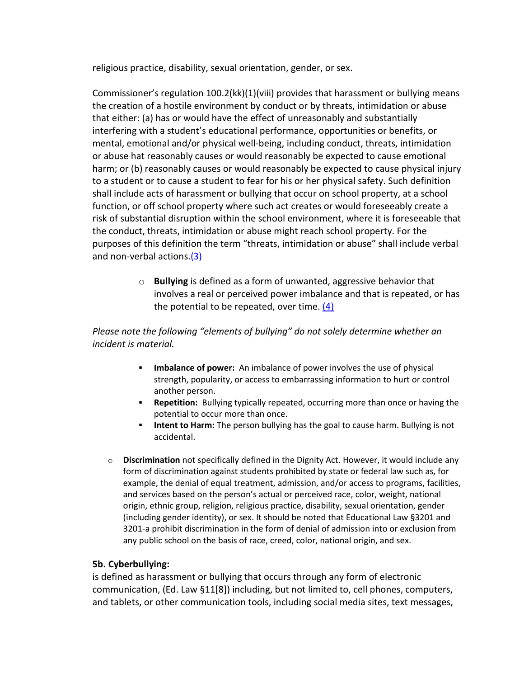religious practice, disability, sexual orientation, gender, or sex.

Commissioner's regulation 100.2(kk)(1)(viii) provides that harassment or bullying means the creation of a hostile environment by conduct or by threats, intimidation or abuse that either: (a) has or would have the effect of unreasonably and substantially interfering with a student's educational performance, opportunities or benefits, or mental, emotional and/or physical well-being, including conduct, threats, intimidation or abuse hat reasonably causes or would reasonably be expected to cause emotional harm; or (b) reasonably causes or would reasonably be expected to cause physical injury to a student or to cause a student to fear for his or her physical safety. Such definition shall include acts of harassment or bullying that occur on school property, at a school function, or off school property where such act creates or would foreseeably create a risk of substantial disruption within the school environment, where it is foreseeable that the conduct, threats, intimidation or abuse might reach school property. For the purposes of this definition the term "threats, intimidation or abuse" shall include verbal and non-verbal actions.<sup>(3)</sup>

> o **Bullying** is defined as a form of unwanted, aggressive behavior that involves a real or perceived power imbalance and that is repeated, or has the potential to be repeated, over time.  $(4)$

# *Please note the following "elements of bullying" do not solely determine whether an incident is material.*

- **Imbalance of power:** An imbalance of power involves the use of physical strength, popularity, or access to embarrassing information to hurt or control another person.
- **Repetition:** Bullying typically repeated, occurring more than once or having the potential to occur more than once.
- **Intent to Harm:** The person bullying has the goal to cause harm. Bullying is not accidental.
- o **Discrimination** not specifically defined in the Dignity Act. However, it would include any form of discrimination against students prohibited by state or federal law such as, for example, the denial of equal treatment, admission, and/or access to programs, facilities, and services based on the person's actual or perceived race, color, weight, national origin, ethnic group, religion, religious practice, disability, sexual orientation, gender (including gender identity), or sex. It should be noted that Educational Law §3201 and 3201-a prohibit discrimination in the form of denial of admission into or exclusion from any public school on the basis of race, creed, color, national origin, and sex.

# **5b. Cyberbullying:**

is defined as harassment or bullying that occurs through any form of electronic communication, (Ed. Law §11[8]) including, but not limited to, cell phones, computers, and tablets, or other communication tools, including social media sites, text messages,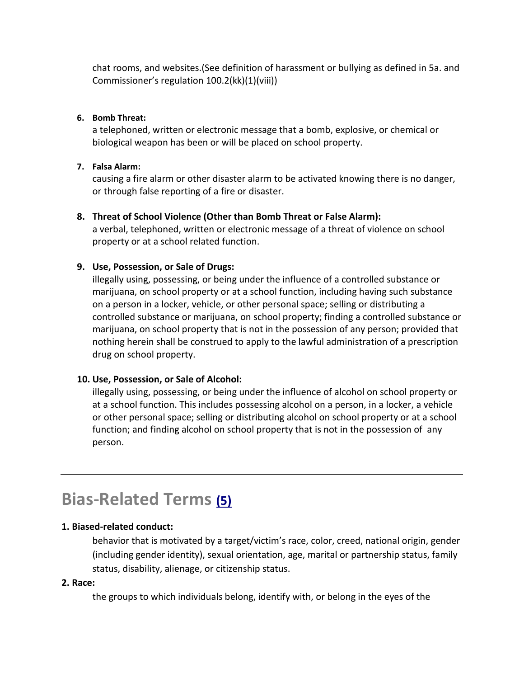chat rooms, and websites.(See definition of harassment or bullying as defined in 5a. and Commissioner's regulation 100.2(kk)(1)(viii))

#### **6. Bomb Threat:**

a telephoned, written or electronic message that a bomb, explosive, or chemical or biological weapon has been or will be placed on school property.

#### **7. Falsa Alarm:**

causing a fire alarm or other disaster alarm to be activated knowing there is no danger, or through false reporting of a fire or disaster.

#### **8. Threat of School Violence (Other than Bomb Threat or False Alarm):**

a verbal, telephoned, written or electronic message of a threat of violence on school property or at a school related function.

#### **9. Use, Possession, or Sale of Drugs:**

illegally using, possessing, or being under the influence of a controlled substance or marijuana, on school property or at a school function, including having such substance on a person in a locker, vehicle, or other personal space; selling or distributing a controlled substance or marijuana, on school property; finding a controlled substance or marijuana, on school property that is not in the possession of any person; provided that nothing herein shall be construed to apply to the lawful administration of a prescription drug on school property.

#### **10. Use, Possession, or Sale of Alcohol:**

illegally using, possessing, or being under the influence of alcohol on school property or at a school function. This includes possessing alcohol on a person, in a locker, a vehicle or other personal space; selling or distributing alcohol on school property or at a school function; and finding alcohol on school property that is not in the possession of any person.

# **Bias-Related Terms [\(5\)](#page-7-0)**

# **1. Biased-related conduct:**

behavior that is motivated by a target/victim's race, color, creed, national origin, gender (including gender identity), sexual orientation, age, marital or partnership status, family status, disability, alienage, or citizenship status.

#### **2. Race:**

the groups to which individuals belong, identify with, or belong in the eyes of the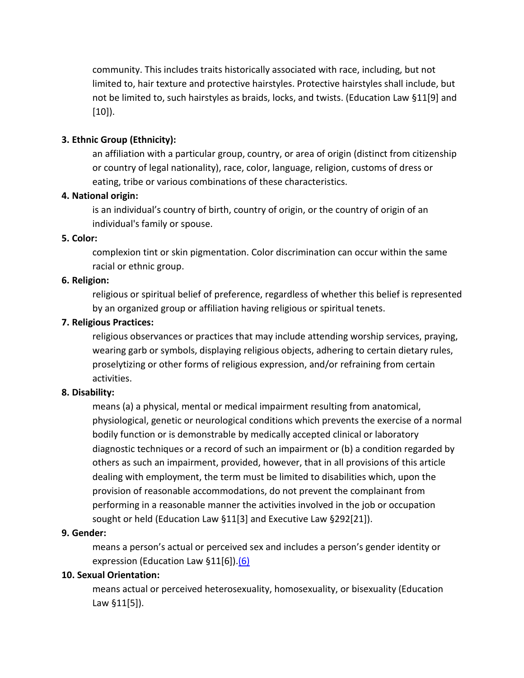community. This includes traits historically associated with race, including, but not limited to, hair texture and protective hairstyles. Protective hairstyles shall include, but not be limited to, such hairstyles as braids, locks, and twists. (Education Law §11[9] and [10]).

#### **3. Ethnic Group (Ethnicity):**

an affiliation with a particular group, country, or area of origin (distinct from citizenship or country of legal nationality), race, color, language, religion, customs of dress or eating, tribe or various combinations of these characteristics.

#### **4. National origin:**

is an individual's country of birth, country of origin, or the country of origin of an individual's family or spouse.

#### **5. Color:**

complexion tint or skin pigmentation. Color discrimination can occur within the same racial or ethnic group.

#### **6. Religion:**

religious or spiritual belief of preference, regardless of whether this belief is represented by an organized group or affiliation having religious or spiritual tenets.

#### **7. Religious Practices:**

religious observances or practices that may include attending worship services, praying, wearing garb or symbols, displaying religious objects, adhering to certain dietary rules, proselytizing or other forms of religious expression, and/or refraining from certain activities.

#### **8. Disability:**

means (a) a physical, mental or medical impairment resulting from anatomical, physiological, genetic or neurological conditions which prevents the exercise of a normal bodily function or is demonstrable by medically accepted clinical or laboratory diagnostic techniques or a record of such an impairment or (b) a condition regarded by others as such an impairment, provided, however, that in all provisions of this article dealing with employment, the term must be limited to disabilities which, upon the provision of reasonable accommodations, do not prevent the complainant from performing in a reasonable manner the activities involved in the job or occupation sought or held (Education Law §11[3] and Executive Law §292[21]).

#### **9. Gender:**

means a person's actual or perceived sex and includes a person's gender identity or expression (Education Law §11[6]).<sup>(6)</sup>

#### **10. Sexual Orientation:**

means actual or perceived heterosexuality, homosexuality, or bisexuality (Education Law §11[5]).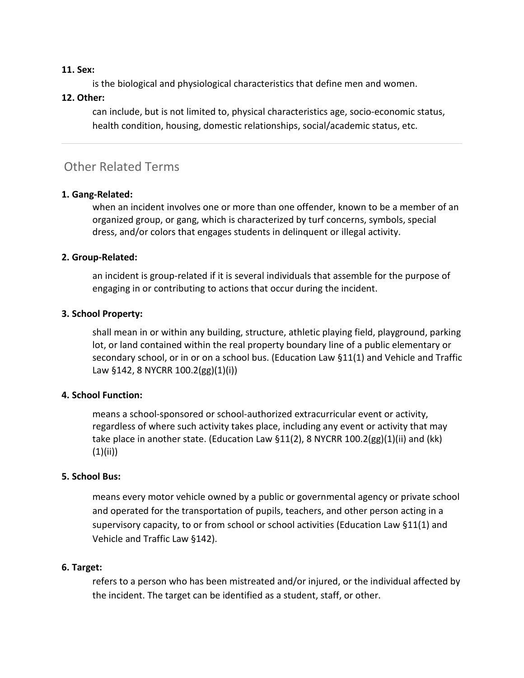#### **11. Sex:**

is the biological and physiological characteristics that define men and women.

#### **12. Other:**

can include, but is not limited to, physical characteristics age, socio-economic status, health condition, housing, domestic relationships, social/academic status, etc.

# Other Related Terms

#### **1. Gang-Related:**

when an incident involves one or more than one offender, known to be a member of an organized group, or gang, which is characterized by turf concerns, symbols, special dress, and/or colors that engages students in delinquent or illegal activity.

#### **2. Group-Related:**

an incident is group-related if it is several individuals that assemble for the purpose of engaging in or contributing to actions that occur during the incident.

#### **3. School Property:**

shall mean in or within any building, structure, athletic playing field, playground, parking lot, or land contained within the real property boundary line of a public elementary or secondary school, or in or on a school bus. (Education Law §11(1) and Vehicle and Traffic Law §142, 8 NYCRR 100.2(gg)(1)(i))

#### **4. School Function:**

means a school-sponsored or school-authorized extracurricular event or activity, regardless of where such activity takes place, including any event or activity that may take place in another state. (Education Law §11(2), 8 NYCRR 100.2(gg)(1)(ii) and (kk)  $(1)(ii)$ 

#### **5. School Bus:**

means every motor vehicle owned by a public or governmental agency or private school and operated for the transportation of pupils, teachers, and other person acting in a supervisory capacity, to or from school or school activities (Education Law §11(1) and Vehicle and Traffic Law §142).

#### **6. Target:**

refers to a person who has been mistreated and/or injured, or the individual affected by the incident. The target can be identified as a student, staff, or other.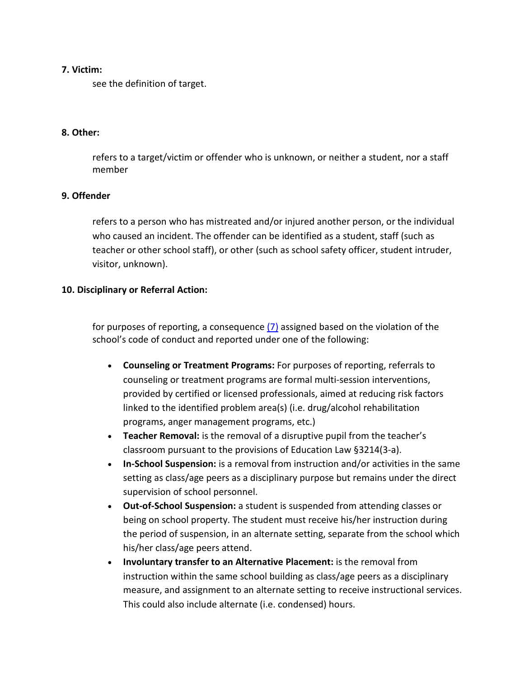#### **7. Victim:**

see the definition of target.

#### **8. Other:**

refers to a target/victim or offender who is unknown, or neither a student, nor a staff member

#### **9. Offender**

refers to a person who has mistreated and/or injured another person, or the individual who caused an incident. The offender can be identified as a student, staff (such as teacher or other school staff), or other (such as school safety officer, student intruder, visitor, unknown).

#### **10. Disciplinary or Referral Action:**

for purposes of reporting, a consequence [\(7\)](#page-7-2) assigned based on the violation of the school's code of conduct and reported under one of the following:

- **Counseling or Treatment Programs:** For purposes of reporting, referrals to counseling or treatment programs are formal multi-session interventions, provided by certified or licensed professionals, aimed at reducing risk factors linked to the identified problem area(s) (i.e. drug/alcohol rehabilitation programs, anger management programs, etc.)
- **Teacher Removal:** is the removal of a disruptive pupil from the teacher's classroom pursuant to the provisions of Education Law §3214(3-a).
- **In-School Suspension:** is a removal from instruction and/or activities in the same setting as class/age peers as a disciplinary purpose but remains under the direct supervision of school personnel.
- **Out-of-School Suspension:** a student is suspended from attending classes or being on school property. The student must receive his/her instruction during the period of suspension, in an alternate setting, separate from the school which his/her class/age peers attend.
- **Involuntary transfer to an Alternative Placement:** is the removal from instruction within the same school building as class/age peers as a disciplinary measure, and assignment to an alternate setting to receive instructional services. This could also include alternate (i.e. condensed) hours.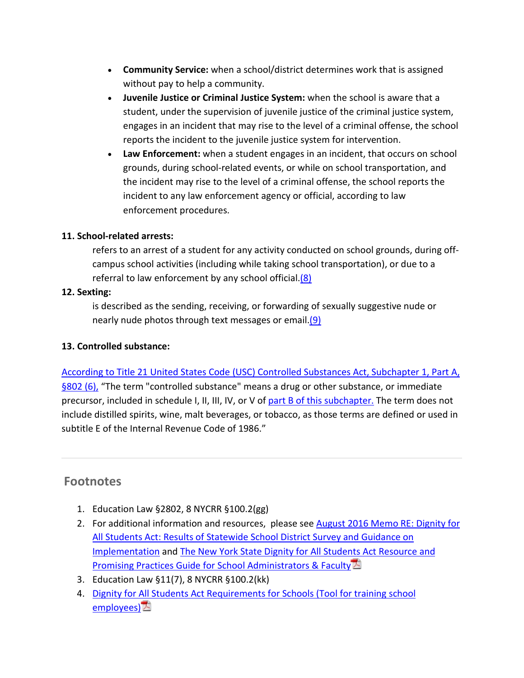- **Community Service:** when a school/district determines work that is assigned without pay to help a community.
- **Juvenile Justice or Criminal Justice System:** when the school is aware that a student, under the supervision of juvenile justice of the criminal justice system, engages in an incident that may rise to the level of a criminal offense, the school reports the incident to the juvenile justice system for intervention.
- **Law Enforcement:** when a student engages in an incident, that occurs on school grounds, during school-related events, or while on school transportation, and the incident may rise to the level of a criminal offense, the school reports the incident to any law enforcement agency or official, according to law enforcement procedures.

#### **11. School-related arrests:**

refers to an arrest of a student for any activity conducted on school grounds, during offcampus school activities (including while taking school transportation), or due to a referral to law enforcement by any school official[.\(8\)](#page-7-3)

#### **12. Sexting:**

is described as the sending, receiving, or forwarding of sexually suggestive nude or nearly nude photos through text messages or email. (9)

#### **13. Controlled substance:**

[According to Title 21 United States Code \(USC\) Controlled Substances Act, Subchapter 1, Part A,](https://www.deadiversion.usdoj.gov/21cfr/21usc/802.htm)  [§802 \(6\),](https://www.deadiversion.usdoj.gov/21cfr/21usc/802.htm) "The term "controlled substance" means a drug or other substance, or immediate precursor, included in schedule I, II, III, IV, or V of [part B of this subchapter.](https://www.deadiversion.usdoj.gov/21cfr/21usc/812.htm) The term does not include distilled spirits, wine, malt beverages, or tobacco, as those terms are defined or used in subtitle E of the Internal Revenue Code of 1986."

# **Footnotes**

- <span id="page-6-0"></span>1. Education Law §2802, 8 NYCRR §100.2(gg)
- <span id="page-6-1"></span>2. For additional information and resources, please see [August 2016 Memo RE: Dignity for](http://www.p12.nysed.gov/dignityact/documents/SED-AGLttrandGuidance8-31-16.pdf)  [All Students Act: Results of Statewide School District Survey and Guidance on](http://www.p12.nysed.gov/dignityact/documents/SED-AGLttrandGuidance8-31-16.pdf)  [Implementation](http://www.p12.nysed.gov/dignityact/documents/SED-AGLttrandGuidance8-31-16.pdf) and [The New York State Dignity for All Students Act Resource and](http://www.p12.nysed.gov/dignityact/documents/FINALDignityForAllStudentsActGuidanceMay2016.pdf)  [Promising Practices Guide for School Administrators & Faculty](http://www.p12.nysed.gov/dignityact/documents/FINALDignityForAllStudentsActGuidanceMay2016.pdf)
- <span id="page-6-2"></span>3. Education Law §11(7), 8 NYCRR §100.2(kk)
- <span id="page-6-3"></span>4. [Dignity for All Students Act Requirements for Schools \(Tool for training school](http://p1232.nysed.gov/dignityact/documents/TrainingMaterialsFnl8-31-16.pdf)  [employees\)](http://p1232.nysed.gov/dignityact/documents/TrainingMaterialsFnl8-31-16.pdf)<sup>2</sup>